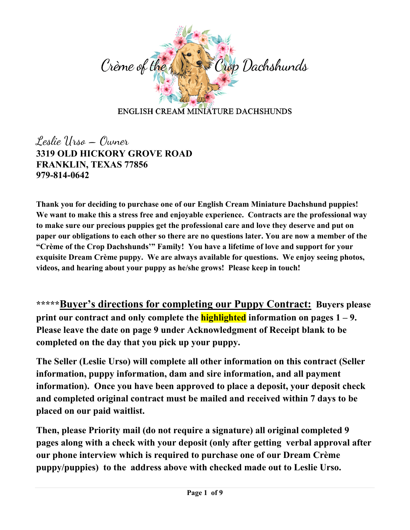

Leslie Urso – Owner **3319 OLD HICKORY GROVE ROAD FRANKLIN, TEXAS 77856 979-814-0642**

**Thank you for deciding to purchase one of our English Cream Miniature Dachshund puppies! We want to make this a stress free and enjoyable experience. Contracts are the professional way to make sure our precious puppies get the professional care and love they deserve and put on paper our obligations to each other so there are no questions later. You are now a member of the "Crème of the Crop Dachshunds'" Family! You have a lifetime of love and support for your exquisite Dream Crème puppy. We are always available for questions. We enjoy seeing photos, videos, and hearing about your puppy as he/she grows! Please keep in touch!**

**\*\*\*\*\*Buyer's directions for completing our Puppy Contract: Buyers please print our contract and only complete the highlighted information on pages 1 – 9. Please leave the date on page 9 under Acknowledgment of Receipt blank to be completed on the day that you pick up your puppy.**

**The Seller (Leslie Urso) will complete all other information on this contract (Seller information, puppy information, dam and sire information, and all payment information). Once you have been approved to place a deposit, your deposit check and completed original contract must be mailed and received within 7 days to be placed on our paid waitlist.** 

**Then, please Priority mail (do not require a signature) all original completed 9 pages along with a check with your deposit (only after getting verbal approval after our phone interview which is required to purchase one of our Dream Crème puppy/puppies) to the address above with checked made out to Leslie Urso.**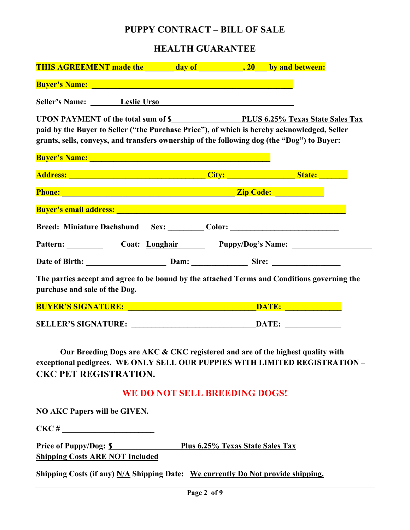## **PUPPY CONTRACT – BILL OF SALE**

# **HEALTH GUARANTEE**

| Buyer's Name: Electric Contract of the Contract of the Contract of the Contract of the Contract of the Contract of the Contract of the Contract of the Contract of the Contract of the Contract of the Contract of the Contrac       |                                                                                                                                                                                                                                      |  |  |
|--------------------------------------------------------------------------------------------------------------------------------------------------------------------------------------------------------------------------------------|--------------------------------------------------------------------------------------------------------------------------------------------------------------------------------------------------------------------------------------|--|--|
| Seller's Name: Leslie Urso Leslie News                                                                                                                                                                                               |                                                                                                                                                                                                                                      |  |  |
| paid by the Buyer to Seller ("the Purchase Price"), of which is hereby acknowledged, Seller<br>grants, sells, conveys, and transfers ownership of the following dog (the "Dog") to Buyer:                                            |                                                                                                                                                                                                                                      |  |  |
| <b>Buyer's Name:</b> Name: Name: Name: Name: Name: Name: Name: Name: Name: Name: Name: Name: Name: Name: Name: Name: N                                                                                                               |                                                                                                                                                                                                                                      |  |  |
|                                                                                                                                                                                                                                      |                                                                                                                                                                                                                                      |  |  |
|                                                                                                                                                                                                                                      | Phone: <u>New York: New York: New York: New York: New York: New York: New York: New York: New York: New York: New York: New York: New York: New York: New York: New York: New York: New York: New York: New York: New York: New </u> |  |  |
| <b>Buyer's email address: Example 2008 Contract Contract Contract Contract Contract Contract Contract Contract Contract Contract Contract Contract Contract Contract Contract Contract Contract Contract Contract Contract C</b>     |                                                                                                                                                                                                                                      |  |  |
| Breed: Miniature Dachshund Sex: Color: Color: 2000 Color: 2000 Color: 2000 Color: 2000 Color: 2000 Color: 2000 Color: 2000 Color: 2000 Color: 2000 Color: 2000 Color: 2000 Color: 2000 Color: 2000 Color: 2000 Color: 2000 Col       |                                                                                                                                                                                                                                      |  |  |
| Pattern: Coat: Longhair Puppy/Dog's Name:                                                                                                                                                                                            |                                                                                                                                                                                                                                      |  |  |
| Date of Birth: <u>Dam: Dam: Sire: Sire: Sire: Sire: National Base of Birth: National Base of Birth: National Base of Birth: National Base of Birth: National Base of Birth: National Base of Birth: National Base of Birth: Nati</u> |                                                                                                                                                                                                                                      |  |  |
| The parties accept and agree to be bound by the attached Terms and Conditions governing the<br>purchase and sale of the Dog.                                                                                                         |                                                                                                                                                                                                                                      |  |  |
|                                                                                                                                                                                                                                      |                                                                                                                                                                                                                                      |  |  |

**SELLER'S SIGNATURE: \_\_\_\_\_\_\_\_\_\_\_\_\_\_\_\_\_\_\_\_\_\_\_\_\_\_\_\_\_\_\_DATE: \_\_\_\_\_\_\_\_\_\_\_\_\_\_**

**Our Breeding Dogs are AKC & CKC registered and are of the highest quality with exceptional pedigrees. WE ONLY SELL OUR PUPPIES WITH LIMITED REGISTRATION – CKC PET REGISTRATION.** 

# **WE DO NOT SELL BREEDING DOGS!**

**NO AKC Papers will be GIVEN.**

**CKC # \_\_\_\_\_\_\_\_\_\_\_\_\_\_\_\_\_\_\_\_\_\_\_**

Price of Puppy/Dog: <u>\$ Plus 6.25% Texas State S</u>ales Tax **Shipping Costs ARE NOT Included**

**Shipping Costs (if any) N/A Shipping Date: We currently Do Not provide shipping.**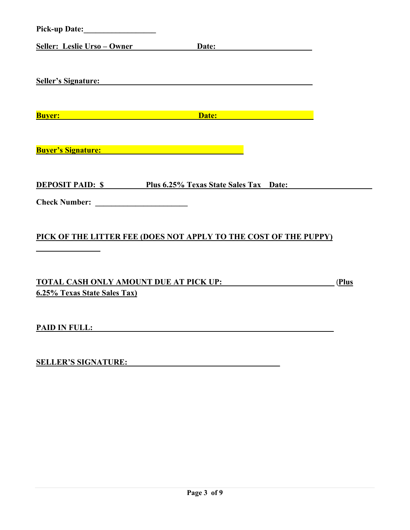| Seller: Leslie Urso – Owner                                                                                                                                                                                                         | Date: <u>Date:</u>                                                                                                                                                             |       |
|-------------------------------------------------------------------------------------------------------------------------------------------------------------------------------------------------------------------------------------|--------------------------------------------------------------------------------------------------------------------------------------------------------------------------------|-------|
|                                                                                                                                                                                                                                     |                                                                                                                                                                                |       |
| <b>Seller's Signature:</b> Seller's Signature:                                                                                                                                                                                      |                                                                                                                                                                                |       |
|                                                                                                                                                                                                                                     |                                                                                                                                                                                |       |
| <b>Buyer: Buyer:</b>                                                                                                                                                                                                                | Date: <b>Date: Date: Date: Date: Date: Date: Date: Date: Date: Date: Date: Date: Date: Date: Date: Date: Date: Date: Date: Date: Date: Date: Date: Date: Date: Date: Date:</b> |       |
|                                                                                                                                                                                                                                     |                                                                                                                                                                                |       |
| <b>Buyer's Signature:</b> National Property of the Second Property of the Second Property of the Second Property of the Second Property of the Second Property of the Second Property of the Second Property of the Second Property |                                                                                                                                                                                |       |
|                                                                                                                                                                                                                                     |                                                                                                                                                                                |       |
|                                                                                                                                                                                                                                     | <b>DEPOSIT PAID:</b> \$ Plus 6.25% Texas State Sales Tax Date:                                                                                                                 |       |
|                                                                                                                                                                                                                                     |                                                                                                                                                                                |       |
|                                                                                                                                                                                                                                     |                                                                                                                                                                                |       |
|                                                                                                                                                                                                                                     | PICK OF THE LITTER FEE (DOES NOT APPLY TO THE COST OF THE PUPPY)                                                                                                               |       |
|                                                                                                                                                                                                                                     |                                                                                                                                                                                |       |
|                                                                                                                                                                                                                                     |                                                                                                                                                                                |       |
| <b>TOTAL CASH ONLY AMOUNT DUE AT PICK UP:</b><br>6.25% Texas State Sales Tax)                                                                                                                                                       |                                                                                                                                                                                | (Plus |
|                                                                                                                                                                                                                                     |                                                                                                                                                                                |       |
| <b>PAID IN FULL:</b>                                                                                                                                                                                                                |                                                                                                                                                                                |       |
|                                                                                                                                                                                                                                     |                                                                                                                                                                                |       |
| <b>SELLER'S SIGNATURE:</b>                                                                                                                                                                                                          |                                                                                                                                                                                |       |
|                                                                                                                                                                                                                                     |                                                                                                                                                                                |       |
|                                                                                                                                                                                                                                     |                                                                                                                                                                                |       |
|                                                                                                                                                                                                                                     |                                                                                                                                                                                |       |
|                                                                                                                                                                                                                                     |                                                                                                                                                                                |       |
|                                                                                                                                                                                                                                     |                                                                                                                                                                                |       |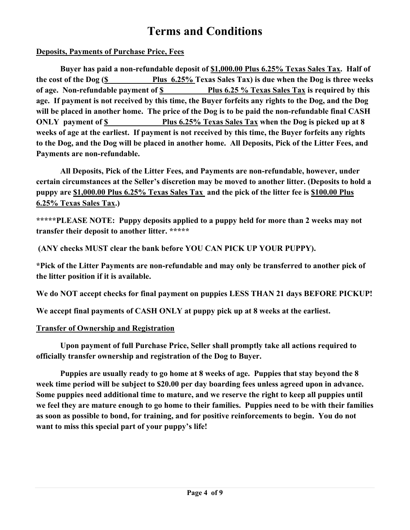# **Terms and Conditions**

## **Deposits, Payments of Purchase Price, Fees**

**Buyer has paid a non-refundable deposit of \$1,000.00 Plus 6.25% Texas Sales Tax. Half of the cost of the Dog (\$ Plus 6.25% Texas Sales Tax) is due when the Dog is three weeks of age. Non-refundable payment of \$ Plus 6.25 % Texas Sales Tax is required by this age. If payment is not received by this time, the Buyer forfeits any rights to the Dog, and the Dog will be placed in another home. The price of the Dog is to be paid the non-refundable final CASH ONLY payment of \$ Plus 6.25% Texas Sales Tax when the Dog is picked up at 8 weeks of age at the earliest. If payment is not received by this time, the Buyer forfeits any rights to the Dog, and the Dog will be placed in another home. All Deposits, Pick of the Litter Fees, and Payments are non-refundable.**

**All Deposits, Pick of the Litter Fees, and Payments are non-refundable, however, under certain circumstances at the Seller's discretion may be moved to another litter. (Deposits to hold a puppy are \$1,000.00 Plus 6.25% Texas Sales Tax and the pick of the litter fee is \$100.00 Plus 6.25% Texas Sales Tax.)**

**\*\*\*\*\*PLEASE NOTE: Puppy deposits applied to a puppy held for more than 2 weeks may not transfer their deposit to another litter. \*\*\*\*\***

**(ANY checks MUST clear the bank before YOU CAN PICK UP YOUR PUPPY).**

**\*Pick of the Litter Payments are non-refundable and may only be transferred to another pick of the litter position if it is available.**

**We do NOT accept checks for final payment on puppies LESS THAN 21 days BEFORE PICKUP!**

**We accept final payments of CASH ONLY at puppy pick up at 8 weeks at the earliest.**

#### **Transfer of Ownership and Registration**

**Upon payment of full Purchase Price, Seller shall promptly take all actions required to officially transfer ownership and registration of the Dog to Buyer.**

**Puppies are usually ready to go home at 8 weeks of age. Puppies that stay beyond the 8 week time period will be subject to \$20.00 per day boarding fees unless agreed upon in advance. Some puppies need additional time to mature, and we reserve the right to keep all puppies until we feel they are mature enough to go home to their families. Puppies need to be with their families as soon as possible to bond, for training, and for positive reinforcements to begin. You do not want to miss this special part of your puppy's life!**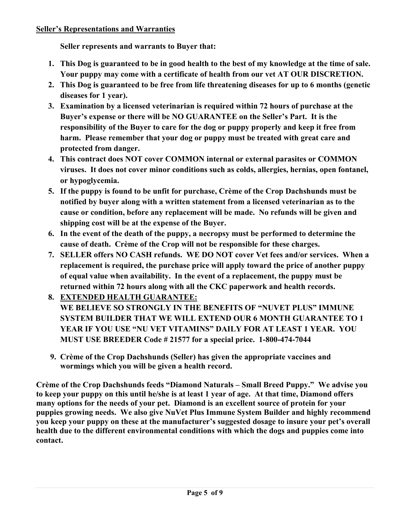**Seller represents and warrants to Buyer that:**

- **1. This Dog is guaranteed to be in good health to the best of my knowledge at the time of sale. Your puppy may come with a certificate of health from our vet AT OUR DISCRETION.**
- **2. This Dog is guaranteed to be free from life threatening diseases for up to 6 months (genetic diseases for 1 year).**
- **3. Examination by a licensed veterinarian is required within 72 hours of purchase at the Buyer's expense or there will be NO GUARANTEE on the Seller's Part. It is the responsibility of the Buyer to care for the dog or puppy properly and keep it free from harm. Please remember that your dog or puppy must be treated with great care and protected from danger.**
- **4. This contract does NOT cover COMMON internal or external parasites or COMMON viruses. It does not cover minor conditions such as colds, allergies, hernias, open fontanel, or hypoglycemia.**
- **5. If the puppy is found to be unfit for purchase, Crème of the Crop Dachshunds must be notified by buyer along with a written statement from a licensed veterinarian as to the cause or condition, before any replacement will be made. No refunds will be given and shipping cost will be at the expense of the Buyer.**
- **6. In the event of the death of the puppy, a necropsy must be performed to determine the cause of death. Crème of the Crop will not be responsible for these charges.**
- **7. SELLER offers NO CASH refunds. WE DO NOT cover Vet fees and/or services. When a replacement is required, the purchase price will apply toward the price of another puppy of equal value when availability. In the event of a replacement, the puppy must be returned within 72 hours along with all the CKC paperwork and health records.**
- **8. EXTENDED HEALTH GUARANTEE: WE BELIEVE SO STRONGLY IN THE BENEFITS OF "NUVET PLUS" IMMUNE SYSTEM BUILDER THAT WE WILL EXTEND OUR 6 MONTH GUARANTEE TO 1 YEAR IF YOU USE "NU VET VITAMINS" DAILY FOR AT LEAST 1 YEAR. YOU** 
	- **MUST USE BREEDER Code # 21577 for a special price. 1-800-474-7044**
- **9. Crème of the Crop Dachshunds (Seller) has given the appropriate vaccines and wormings which you will be given a health record.**

**Crème of the Crop Dachshunds feeds "Diamond Naturals – Small Breed Puppy." We advise you to keep your puppy on this until he/she is at least 1 year of age. At that time, Diamond offers many options for the needs of your pet. Diamond is an excellent source of protein for your puppies growing needs. We also give NuVet Plus Immune System Builder and highly recommend you keep your puppy on these at the manufacturer's suggested dosage to insure your pet's overall health due to the different environmental conditions with which the dogs and puppies come into contact.**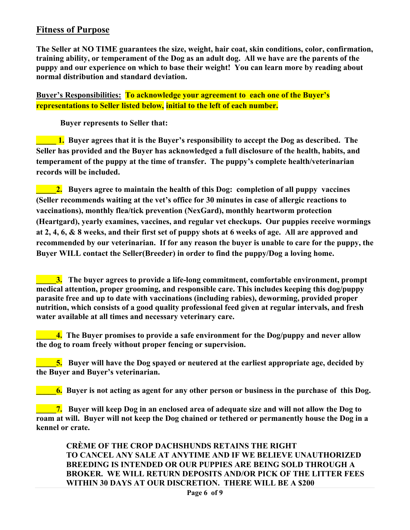# **Fitness of Purpose**

**The Seller at NO TIME guarantees the size, weight, hair coat, skin conditions, color, confirmation, training ability, or temperament of the Dog as an adult dog. All we have are the parents of the puppy and our experience on which to base their weight! You can learn more by reading about normal distribution and standard deviation.** 

**Buyer's Responsibilities: To acknowledge your agreement to each one of the Buyer's representations to Seller listed below, initial to the left of each number.**

**Buyer represents to Seller that:**

**\_\_\_\_\_ 1. Buyer agrees that it is the Buyer's responsibility to accept the Dog as described. The Seller has provided and the Buyer has acknowledged a full disclosure of the health, habits, and temperament of the puppy at the time of transfer. The puppy's complete health/veterinarian records will be included.**

**2.** Buyers agree to maintain the health of this Dog: completion of all puppy vaccines **(Seller recommends waiting at the vet's office for 30 minutes in case of allergic reactions to vaccinations), monthly flea/tick prevention (NexGard), monthly heartworm protection (Heartgard), yearly examines, vaccines, and regular vet checkups. Our puppies receive wormings at 2, 4, 6, & 8 weeks, and their first set of puppy shots at 6 weeks of age. All are approved and recommended by our veterinarian. If for any reason the buyer is unable to care for the puppy, the Buyer WILL contact the Seller(Breeder) in order to find the puppy/Dog a loving home.**

**\_\_\_\_\_3. The buyer agrees to provide a life-long commitment, comfortable environment, prompt medical attention, proper grooming, and responsible care. This includes keeping this dog/puppy parasite free and up to date with vaccinations (including rabies), deworming, provided proper nutrition, which consists of a good quality professional feed given at regular intervals, and fresh water available at all times and necessary veterinary care.** 

**\_\_\_\_\_4. The Buyer promises to provide a safe environment for the Dog/puppy and never allow the dog to roam freely without proper fencing or supervision.**

**\_\_\_\_\_5. Buyer will have the Dog spayed or neutered at the earliest appropriate age, decided by the Buyer and Buyer's veterinarian.** 

**\_\_\_\_\_6. Buyer is not acting as agent for any other person or business in the purchase of this Dog.**

**\_\_7.** Buyer will keep Dog in an enclosed area of adequate size and will not allow the Dog to **roam at will. Buyer will not keep the Dog chained or tethered or permanently house the Dog in a kennel or crate.**

 **CRÈME OF THE CROP DACHSHUNDS RETAINS THE RIGHT TO CANCEL ANY SALE AT ANYTIME AND IF WE BELIEVE UNAUTHORIZED BREEDING IS INTENDED OR OUR PUPPIES ARE BEING SOLD THROUGH A BROKER. WE WILL RETURN DEPOSITS AND/OR PICK OF THE LITTER FEES WITHIN 30 DAYS AT OUR DISCRETION. THERE WILL BE A \$200**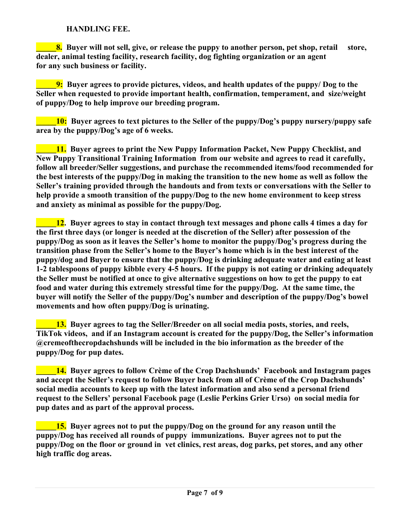#### **HANDLING FEE.**

**8.** Buyer will not sell, give, or release the puppy to another person, pet shop, retail store, **dealer, animal testing facility, research facility, dog fighting organization or an agent for any such business or facility.**

**\_\_\_\_\_9: Buyer agrees to provide pictures, videos, and health updates of the puppy/ Dog to the Seller when requested to provide important health, confirmation, temperament, and size/weight of puppy/Dog to help improve our breeding program.**

**10:** Buyer agrees to text pictures to the Seller of the puppy/Dog's puppy nursery/puppy safe **area by the puppy/Dog's age of 6 weeks.**

**\_\_\_\_\_11. Buyer agrees to print the New Puppy Information Packet, New Puppy Checklist, and New Puppy Transitional Training Information from our website and agrees to read it carefully, follow all breeder/Seller suggestions, and purchase the recommended items/food recommended for the best interests of the puppy/Dog in making the transition to the new home as well as follow the Seller's training provided through the handouts and from texts or conversations with the Seller to help provide a smooth transition of the puppy/Dog to the new home environment to keep stress and anxiety as minimal as possible for the puppy/Dog.**

**\_\_\_\_\_12. Buyer agrees to stay in contact through text messages and phone calls 4 times a day for the first three days (or longer is needed at the discretion of the Seller) after possession of the puppy/Dog as soon as it leaves the Seller's home to monitor the puppy/Dog's progress during the transition phase from the Seller's home to the Buyer's home which is in the best interest of the puppy/dog and Buyer to ensure that the puppy/Dog is drinking adequate water and eating at least 1-2 tablespoons of puppy kibble every 4-5 hours. If the puppy is not eating or drinking adequately the Seller must be notified at once to give alternative suggestions on how to get the puppy to eat food and water during this extremely stressful time for the puppy/Dog. At the same time, the buyer will notify the Seller of the puppy/Dog's number and description of the puppy/Dog's bowel movements and how often puppy/Dog is urinating.**

**13.** Buyer agrees to tag the Seller/Breeder on all social media posts, stories, and reels, **TikTok videos, and if an Instagram account is created for the puppy/Dog, the Seller's information @cremeofthecropdachshunds will be included in the bio information as the breeder of the puppy/Dog for pup dates.**

**Lacktriangle 14.** Buyer agrees to follow Crème of the Crop Dachshunds' Facebook and Instagram pages **and accept the Seller's request to follow Buyer back from all of Crème of the Crop Dachshunds' social media accounts to keep up with the latest information and also send a personal friend request to the Sellers' personal Facebook page (Leslie Perkins Grier Urso) on social media for pup dates and as part of the approval process.** 

**a... IS.** Buyer agrees not to put the puppy/Dog on the ground for any reason until the **puppy/Dog has received all rounds of puppy immunizations. Buyer agrees not to put the puppy/Dog on the floor or ground in vet clinics, rest areas, dog parks, pet stores, and any other high traffic dog areas.**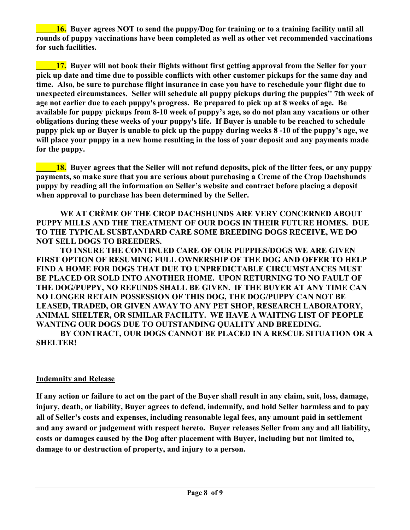**16.** Buyer agrees NOT to send the puppy/Dog for training or to a training facility until all **rounds of puppy vaccinations have been completed as well as other vet recommended vaccinations for such facilities.**

**\_\_\_\_\_17. Buyer will not book their flights without first getting approval from the Seller for your pick up date and time due to possible conflicts with other customer pickups for the same day and time. Also, be sure to purchase flight insurance in case you have to reschedule your flight due to unexpected circumstances. Seller will schedule all puppy pickups during the puppies'' 7th week of age not earlier due to each puppy's progress. Be prepared to pick up at 8 weeks of age. Be available for puppy pickups from 8-10 week of puppy's age, so do not plan any vacations or other obligations during these weeks of your puppy's life. If Buyer is unable to be reached to schedule puppy pick up or Buyer is unable to pick up the puppy during weeks 8 -10 of the puppy's age, we will place your puppy in a new home resulting in the loss of your deposit and any payments made for the puppy.**

**18.** Buver agrees that the Seller will not refund deposits, pick of the litter fees, or any puppy **payments, so make sure that you are serious about purchasing a Creme of the Crop Dachshunds puppy by reading all the information on Seller's website and contract before placing a deposit when approval to purchase has been determined by the Seller.**

**WE AT CRÈME OF THE CROP DACHSHUNDS ARE VERY CONCERNED ABOUT PUPPY MILLS AND THE TREATMENT OF OUR DOGS IN THEIR FUTURE HOMES. DUE TO THE TYPICAL SUSBTANDARD CARE SOME BREEDING DOGS RECEIVE, WE DO NOT SELL DOGS TO BREEDERS.**

**TO INSURE THE CONTINUED CARE OF OUR PUPPIES/DOGS WE ARE GIVEN FIRST OPTION OF RESUMING FULL OWNERSHIP OF THE DOG AND OFFER TO HELP FIND A HOME FOR DOGS THAT DUE TO UNPREDICTABLE CIRCUMSTANCES MUST BE PLACED OR SOLD INTO ANOTHER HOME. UPON RETURNING TO NO FAULT OF THE DOG/PUPPY, NO REFUNDS SHALL BE GIVEN. IF THE BUYER AT ANY TIME CAN NO LONGER RETAIN POSSESSION OF THIS DOG, THE DOG/PUPPY CAN NOT BE LEASED, TRADED, OR GIVEN AWAY TO ANY PET SHOP, RESEARCH LABORATORY, ANIMAL SHELTER, OR SIMILAR FACILITY. WE HAVE A WAITING LIST OF PEOPLE WANTING OUR DOGS DUE TO OUTSTANDING QUALITY AND BREEDING.**

**BY CONTRACT, OUR DOGS CANNOT BE PLACED IN A RESCUE SITUATION OR A SHELTER!**

#### **Indemnity and Release**

**If any action or failure to act on the part of the Buyer shall result in any claim, suit, loss, damage, injury, death, or liability, Buyer agrees to defend, indemnify, and hold Seller harmless and to pay all of Seller's costs and expenses, including reasonable legal fees, any amount paid in settlement and any award or judgement with respect hereto. Buyer releases Seller from any and all liability, costs or damages caused by the Dog after placement with Buyer, including but not limited to, damage to or destruction of property, and injury to a person.**